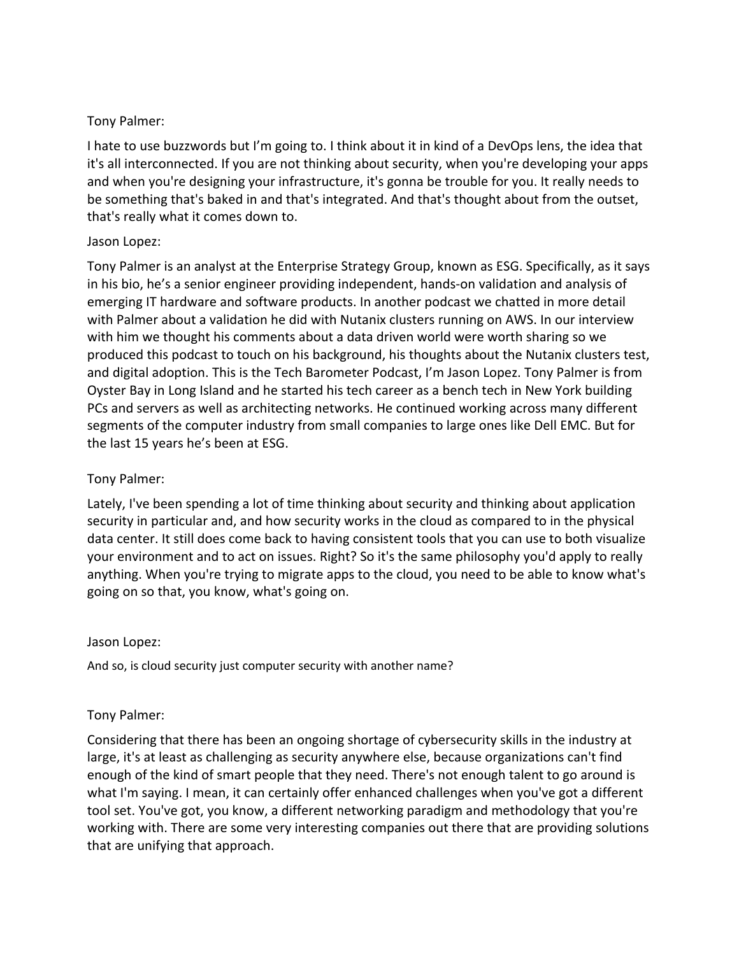### Tony Palmer:

I hate to use buzzwords but I'm going to. I think about it in kind of a DevOps lens, the idea that it's all interconnected. If you are not thinking about security, when you're developing your apps and when you're designing your infrastructure, it's gonna be trouble for you. It really needs to be something that's baked in and that's integrated. And that's thought about from the outset, that's really what it comes down to.

### Jason Lopez:

Tony Palmer is an analyst at the Enterprise Strategy Group, known as ESG. Specifically, as it says in his bio, he's a senior engineer providing independent, hands-on validation and analysis of emerging IT hardware and software products. In another podcast we chatted in more detail with Palmer about a validation he did with Nutanix clusters running on AWS. In our interview with him we thought his comments about a data driven world were worth sharing so we produced this podcast to touch on his background, his thoughts about the Nutanix clusters test, and digital adoption. This is the Tech Barometer Podcast, I'm Jason Lopez. Tony Palmer is from Oyster Bay in Long Island and he started his tech career as a bench tech in New York building PCs and servers as well as architecting networks. He continued working across many different segments of the computer industry from small companies to large ones like Dell EMC. But for the last 15 years he's been at ESG.

## Tony Palmer:

Lately, I've been spending a lot of time thinking about security and thinking about application security in particular and, and how security works in the cloud as compared to in the physical data center. It still does come back to having consistent tools that you can use to both visualize your environment and to act on issues. Right? So it's the same philosophy you'd apply to really anything. When you're trying to migrate apps to the cloud, you need to be able to know what's going on so that, you know, what's going on.

#### Jason Lopez:

And so, is cloud security just computer security with another name?

# Tony Palmer:

Considering that there has been an ongoing shortage of cybersecurity skills in the industry at large, it's at least as challenging as security anywhere else, because organizations can't find enough of the kind of smart people that they need. There's not enough talent to go around is what I'm saying. I mean, it can certainly offer enhanced challenges when you've got a different tool set. You've got, you know, a different networking paradigm and methodology that you're working with. There are some very interesting companies out there that are providing solutions that are unifying that approach.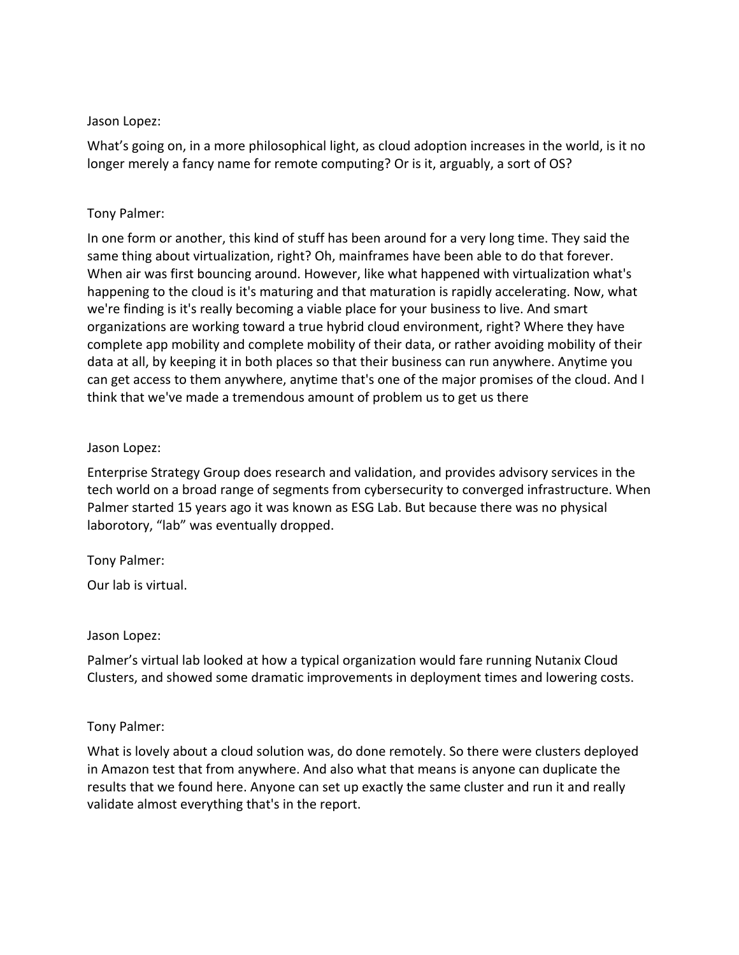#### Jason Lopez:

What's going on, in a more philosophical light, as cloud adoption increases in the world, is it no longer merely a fancy name for remote computing? Or is it, arguably, a sort of OS?

#### Tony Palmer:

In one form or another, this kind of stuff has been around for a very long time. They said the same thing about virtualization, right? Oh, mainframes have been able to do that forever. When air was first bouncing around. However, like what happened with virtualization what's happening to the cloud is it's maturing and that maturation is rapidly accelerating. Now, what we're finding is it's really becoming a viable place for your business to live. And smart organizations are working toward a true hybrid cloud environment, right? Where they have complete app mobility and complete mobility of their data, or rather avoiding mobility of their data at all, by keeping it in both places so that their business can run anywhere. Anytime you can get access to them anywhere, anytime that's one of the major promises of the cloud. And I think that we've made a tremendous amount of problem us to get us there

### Jason Lopez:

Enterprise Strategy Group does research and validation, and provides advisory services in the tech world on a broad range of segments from cybersecurity to converged infrastructure. When Palmer started 15 years ago it was known as ESG Lab. But because there was no physical laborotory, "lab" was eventually dropped.

# Tony Palmer:

Our lab is virtual.

#### Jason Lopez:

Palmer's virtual lab looked at how a typical organization would fare running Nutanix Cloud Clusters, and showed some dramatic improvements in deployment times and lowering costs.

#### Tony Palmer:

What is lovely about a cloud solution was, do done remotely. So there were clusters deployed in Amazon test that from anywhere. And also what that means is anyone can duplicate the results that we found here. Anyone can set up exactly the same cluster and run it and really validate almost everything that's in the report.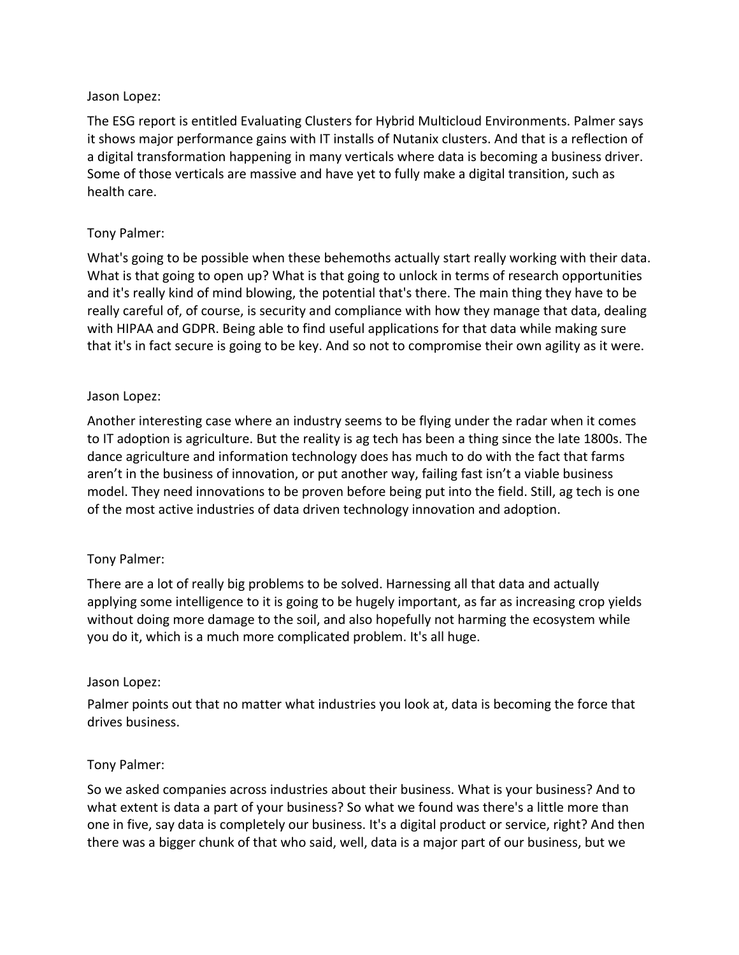### Jason Lopez:

The ESG report is entitled Evaluating Clusters for Hybrid Multicloud Environments. Palmer says it shows major performance gains with IT installs of Nutanix clusters. And that is a reflection of a digital transformation happening in many verticals where data is becoming a business driver. Some of those verticals are massive and have yet to fully make a digital transition, such as health care.

## Tony Palmer:

What's going to be possible when these behemoths actually start really working with their data. What is that going to open up? What is that going to unlock in terms of research opportunities and it's really kind of mind blowing, the potential that's there. The main thing they have to be really careful of, of course, is security and compliance with how they manage that data, dealing with HIPAA and GDPR. Being able to find useful applications for that data while making sure that it's in fact secure is going to be key. And so not to compromise their own agility as it were.

#### Jason Lopez:

Another interesting case where an industry seems to be flying under the radar when it comes to IT adoption is agriculture. But the reality is ag tech has been a thing since the late 1800s. The dance agriculture and information technology does has much to do with the fact that farms aren't in the business of innovation, or put another way, failing fast isn't a viable business model. They need innovations to be proven before being put into the field. Still, ag tech is one of the most active industries of data driven technology innovation and adoption.

#### Tony Palmer:

There are a lot of really big problems to be solved. Harnessing all that data and actually applying some intelligence to it is going to be hugely important, as far as increasing crop yields without doing more damage to the soil, and also hopefully not harming the ecosystem while you do it, which is a much more complicated problem. It's all huge.

#### Jason Lopez:

Palmer points out that no matter what industries you look at, data is becoming the force that drives business.

#### Tony Palmer:

So we asked companies across industries about their business. What is your business? And to what extent is data a part of your business? So what we found was there's a little more than one in five, say data is completely our business. It's a digital product or service, right? And then there was a bigger chunk of that who said, well, data is a major part of our business, but we